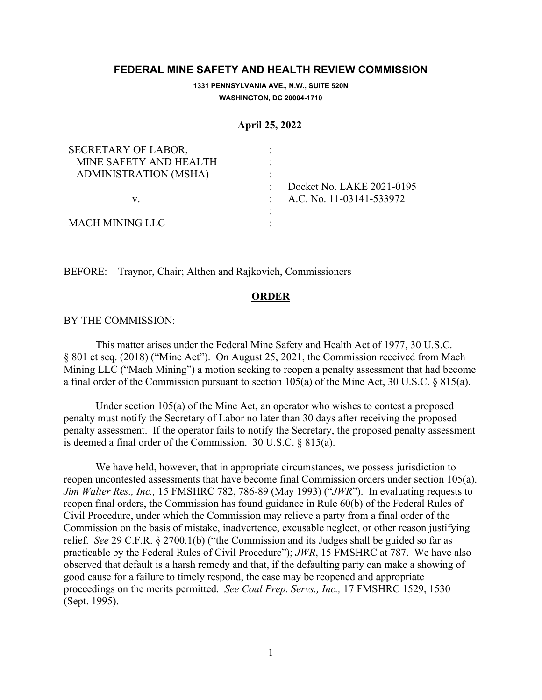## **FEDERAL MINE SAFETY AND HEALTH REVIEW COMMISSION**

**1331 PENNSYLVANIA AVE., N.W., SUITE 520N WASHINGTON, DC 20004-1710**

## **April 25, 2022**

| SECRETARY OF LABOR,    |                            |
|------------------------|----------------------------|
| MINE SAFETY AND HEALTH |                            |
| ADMINISTRATION (MSHA)  |                            |
|                        | Docket No. LAKE 2021-0195  |
| V.                     | : A.C. No. 11-03141-533972 |
|                        |                            |
| MACH MINING LLC        |                            |

BEFORE: Traynor, Chair; Althen and Rajkovich, Commissioners

## **ORDER**

## BY THE COMMISSION:

This matter arises under the Federal Mine Safety and Health Act of 1977, 30 U.S.C. § 801 et seq. (2018) ("Mine Act"). On August 25, 2021, the Commission received from Mach Mining LLC ("Mach Mining") a motion seeking to reopen a penalty assessment that had become a final order of the Commission pursuant to section 105(a) of the Mine Act, 30 U.S.C. § 815(a).

Under section 105(a) of the Mine Act, an operator who wishes to contest a proposed penalty must notify the Secretary of Labor no later than 30 days after receiving the proposed penalty assessment. If the operator fails to notify the Secretary, the proposed penalty assessment is deemed a final order of the Commission. 30 U.S.C. § 815(a).

We have held, however, that in appropriate circumstances, we possess jurisdiction to reopen uncontested assessments that have become final Commission orders under section 105(a). *Jim Walter Res., Inc.,* 15 FMSHRC 782, 786-89 (May 1993) ("*JWR*"). In evaluating requests to reopen final orders, the Commission has found guidance in Rule 60(b) of the Federal Rules of Civil Procedure, under which the Commission may relieve a party from a final order of the Commission on the basis of mistake, inadvertence, excusable neglect, or other reason justifying relief. *See* 29 C.F.R. § 2700.1(b) ("the Commission and its Judges shall be guided so far as practicable by the Federal Rules of Civil Procedure"); *JWR*, 15 FMSHRC at 787. We have also observed that default is a harsh remedy and that, if the defaulting party can make a showing of good cause for a failure to timely respond, the case may be reopened and appropriate proceedings on the merits permitted. *See Coal Prep. Servs., Inc.,* 17 FMSHRC 1529, 1530 (Sept. 1995).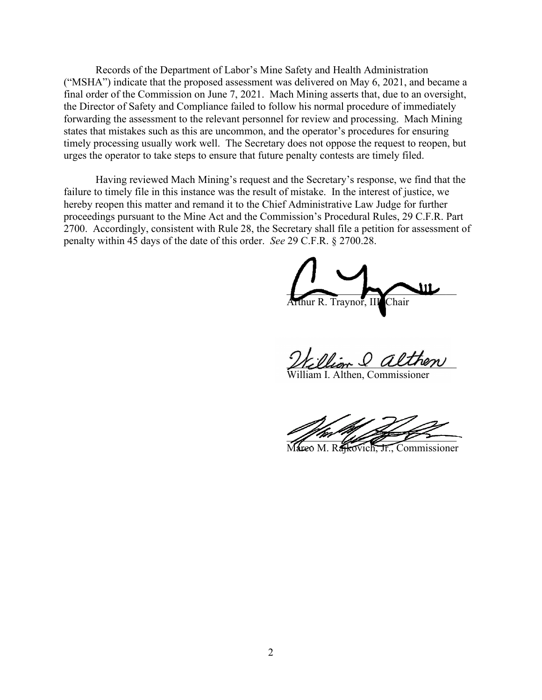Records of the Department of Labor's Mine Safety and Health Administration ("MSHA") indicate that the proposed assessment was delivered on May 6, 2021, and became a final order of the Commission on June 7, 2021. Mach Mining asserts that, due to an oversight, the Director of Safety and Compliance failed to follow his normal procedure of immediately forwarding the assessment to the relevant personnel for review and processing. Mach Mining states that mistakes such as this are uncommon, and the operator's procedures for ensuring timely processing usually work well. The Secretary does not oppose the request to reopen, but urges the operator to take steps to ensure that future penalty contests are timely filed.

Having reviewed Mach Mining's request and the Secretary's response, we find that the failure to timely file in this instance was the result of mistake. In the interest of justice, we hereby reopen this matter and remand it to the Chief Administrative Law Judge for further proceedings pursuant to the Mine Act and the Commission's Procedural Rules, 29 C.F.R. Part 2700. Accordingly, consistent with Rule 28, the Secretary shall file a petition for assessment of penalty within 45 days of the date of this order. *See* 29 C.F.R. § 2700.28.

 $\overline{\phantom{a}}$ Arthur R. Traynor, II

William & althen

illiam I. Althen, Commissioner

 $\mathcal{L}$  and the same of  $\mathcal{L}$ 

Mareo M. Rajkovich, Jr., Commissioner